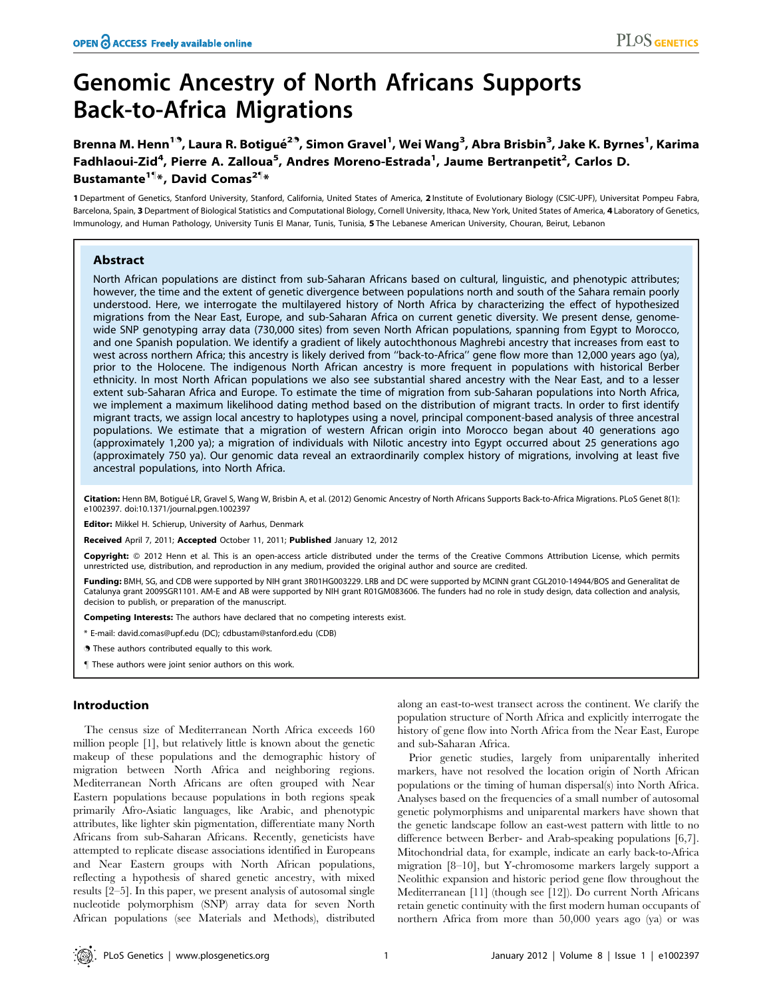# Genomic Ancestry of North Africans Supports Back-to-Africa Migrations

Brenna M. Henn<sup>19</sup>, Laura R. Botigué<sup>29</sup>, Simon Gravel<sup>1</sup>, Wei Wang<sup>3</sup>, Abra Brisbin<sup>3</sup>, Jake K. Byrnes<sup>1</sup>, Karima Fadhlaoui-Zid<sup>4</sup>, Pierre A. Zalloua<sup>5</sup>, Andres Moreno-Estrada<sup>1</sup>, Jaume Bertranpetit<sup>2</sup>, Carlos D. Bustamante<sup>1¶</sup>\*, David Comas<sup>2¶</sup>\*

1 Department of Genetics, Stanford University, Stanford, California, United States of America, 2 Institute of Evolutionary Biology (CSIC-UPF), Universitat Pompeu Fabra, Barcelona, Spain, 3 Department of Biological Statistics and Computational Biology, Cornell University, Ithaca, New York, United States of America, 4 Laboratory of Genetics, Immunology, and Human Pathology, University Tunis El Manar, Tunis, Tunisia, 5 The Lebanese American University, Chouran, Beirut, Lebanon

# Abstract

North African populations are distinct from sub-Saharan Africans based on cultural, linguistic, and phenotypic attributes; however, the time and the extent of genetic divergence between populations north and south of the Sahara remain poorly understood. Here, we interrogate the multilayered history of North Africa by characterizing the effect of hypothesized migrations from the Near East, Europe, and sub-Saharan Africa on current genetic diversity. We present dense, genomewide SNP genotyping array data (730,000 sites) from seven North African populations, spanning from Egypt to Morocco, and one Spanish population. We identify a gradient of likely autochthonous Maghrebi ancestry that increases from east to west across northern Africa; this ancestry is likely derived from ''back-to-Africa'' gene flow more than 12,000 years ago (ya), prior to the Holocene. The indigenous North African ancestry is more frequent in populations with historical Berber ethnicity. In most North African populations we also see substantial shared ancestry with the Near East, and to a lesser extent sub-Saharan Africa and Europe. To estimate the time of migration from sub-Saharan populations into North Africa, we implement a maximum likelihood dating method based on the distribution of migrant tracts. In order to first identify migrant tracts, we assign local ancestry to haplotypes using a novel, principal component-based analysis of three ancestral populations. We estimate that a migration of western African origin into Morocco began about 40 generations ago (approximately 1,200 ya); a migration of individuals with Nilotic ancestry into Egypt occurred about 25 generations ago (approximately 750 ya). Our genomic data reveal an extraordinarily complex history of migrations, involving at least five ancestral populations, into North Africa.

Citation: Henn BM, Botigué LR, Gravel S, Wang W, Brisbin A, et al. (2012) Genomic Ancestry of North Africans Supports Back-to-Africa Migrations. PLoS Genet 8(1): e1002397. doi:10.1371/journal.pgen.1002397

Editor: Mikkel H. Schierup, University of Aarhus, Denmark

Received April 7, 2011; Accepted October 11, 2011; Published January 12, 2012

Copyright: © 2012 Henn et al. This is an open-access article distributed under the terms of the Creative Commons Attribution License, which permits unrestricted use, distribution, and reproduction in any medium, provided the original author and source are credited.

Funding: BMH, SG, and CDB were supported by NIH grant 3R01HG003229. LRB and DC were supported by MCINN grant CGL2010-14944/BOS and Generalitat de Catalunya grant 2009SGR1101. AM-E and AB were supported by NIH grant R01GM083606. The funders had no role in study design, data collection and analysis, decision to publish, or preparation of the manuscript.

**Competing Interests:** The authors have declared that no competing interests exist.

\* E-mail: david.comas@upf.edu (DC); cdbustam@stanford.edu (CDB)

. These authors contributed equally to this work.

These authors were joint senior authors on this work.

## Introduction

The census size of Mediterranean North Africa exceeds 160 million people [1], but relatively little is known about the genetic makeup of these populations and the demographic history of migration between North Africa and neighboring regions. Mediterranean North Africans are often grouped with Near Eastern populations because populations in both regions speak primarily Afro-Asiatic languages, like Arabic, and phenotypic attributes, like lighter skin pigmentation, differentiate many North Africans from sub-Saharan Africans. Recently, geneticists have attempted to replicate disease associations identified in Europeans and Near Eastern groups with North African populations, reflecting a hypothesis of shared genetic ancestry, with mixed results [2–5]. In this paper, we present analysis of autosomal single nucleotide polymorphism (SNP) array data for seven North African populations (see Materials and Methods), distributed

along an east-to-west transect across the continent. We clarify the population structure of North Africa and explicitly interrogate the history of gene flow into North Africa from the Near East, Europe and sub-Saharan Africa.

Prior genetic studies, largely from uniparentally inherited markers, have not resolved the location origin of North African populations or the timing of human dispersal(s) into North Africa. Analyses based on the frequencies of a small number of autosomal genetic polymorphisms and uniparental markers have shown that the genetic landscape follow an east-west pattern with little to no difference between Berber- and Arab-speaking populations [6,7]. Mitochondrial data, for example, indicate an early back-to-Africa migration [8–10], but Y-chromosome markers largely support a Neolithic expansion and historic period gene flow throughout the Mediterranean [11] (though see [12]). Do current North Africans retain genetic continuity with the first modern human occupants of northern Africa from more than 50,000 years ago (ya) or was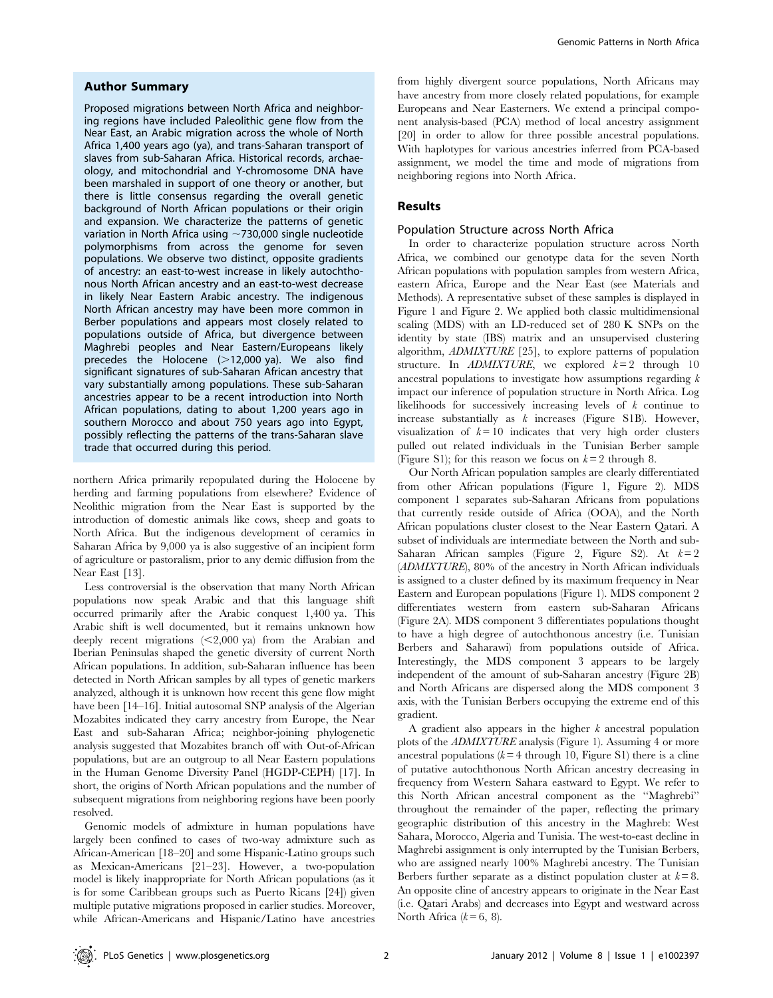## Author Summary

Proposed migrations between North Africa and neighboring regions have included Paleolithic gene flow from the Near East, an Arabic migration across the whole of North Africa 1,400 years ago (ya), and trans-Saharan transport of slaves from sub-Saharan Africa. Historical records, archaeology, and mitochondrial and Y-chromosome DNA have been marshaled in support of one theory or another, but there is little consensus regarding the overall genetic background of North African populations or their origin and expansion. We characterize the patterns of genetic variation in North Africa using  $\sim$  730,000 single nucleotide polymorphisms from across the genome for seven populations. We observe two distinct, opposite gradients of ancestry: an east-to-west increase in likely autochthonous North African ancestry and an east-to-west decrease in likely Near Eastern Arabic ancestry. The indigenous North African ancestry may have been more common in Berber populations and appears most closely related to populations outside of Africa, but divergence between Maghrebi peoples and Near Eastern/Europeans likely precedes the Holocene  $(>12,000 \text{ ya})$ . We also find significant signatures of sub-Saharan African ancestry that vary substantially among populations. These sub-Saharan ancestries appear to be a recent introduction into North African populations, dating to about 1,200 years ago in southern Morocco and about 750 years ago into Egypt, possibly reflecting the patterns of the trans-Saharan slave trade that occurred during this period.

northern Africa primarily repopulated during the Holocene by herding and farming populations from elsewhere? Evidence of Neolithic migration from the Near East is supported by the introduction of domestic animals like cows, sheep and goats to North Africa. But the indigenous development of ceramics in Saharan Africa by 9,000 ya is also suggestive of an incipient form of agriculture or pastoralism, prior to any demic diffusion from the Near East [13].

Less controversial is the observation that many North African populations now speak Arabic and that this language shift occurred primarily after the Arabic conquest 1,400 ya. This Arabic shift is well documented, but it remains unknown how deeply recent migrations  $\leq$  2,000 ya) from the Arabian and Iberian Peninsulas shaped the genetic diversity of current North African populations. In addition, sub-Saharan influence has been detected in North African samples by all types of genetic markers analyzed, although it is unknown how recent this gene flow might have been [14–16]. Initial autosomal SNP analysis of the Algerian Mozabites indicated they carry ancestry from Europe, the Near East and sub-Saharan Africa; neighbor-joining phylogenetic analysis suggested that Mozabites branch off with Out-of-African populations, but are an outgroup to all Near Eastern populations in the Human Genome Diversity Panel (HGDP-CEPH) [17]. In short, the origins of North African populations and the number of subsequent migrations from neighboring regions have been poorly resolved.

Genomic models of admixture in human populations have largely been confined to cases of two-way admixture such as African-American [18–20] and some Hispanic-Latino groups such as Mexican-Americans [21–23]. However, a two-population model is likely inappropriate for North African populations (as it is for some Caribbean groups such as Puerto Ricans [24]) given multiple putative migrations proposed in earlier studies. Moreover, while African-Americans and Hispanic/Latino have ancestries from highly divergent source populations, North Africans may have ancestry from more closely related populations, for example Europeans and Near Easterners. We extend a principal component analysis-based (PCA) method of local ancestry assignment [20] in order to allow for three possible ancestral populations. With haplotypes for various ancestries inferred from PCA-based assignment, we model the time and mode of migrations from neighboring regions into North Africa.

## Results

#### Population Structure across North Africa

In order to characterize population structure across North Africa, we combined our genotype data for the seven North African populations with population samples from western Africa, eastern Africa, Europe and the Near East (see Materials and Methods). A representative subset of these samples is displayed in Figure 1 and Figure 2. We applied both classic multidimensional scaling (MDS) with an LD-reduced set of 280 K SNPs on the identity by state (IBS) matrix and an unsupervised clustering algorithm, ADMIXTURE [25], to explore patterns of population structure. In *ADMIXTURE*, we explored  $k=2$  through 10 ancestral populations to investigate how assumptions regarding  $k$ impact our inference of population structure in North Africa. Log likelihoods for successively increasing levels of k continue to increase substantially as  $k$  increases (Figure S1B). However, visualization of  $k = 10$  indicates that very high order clusters pulled out related individuals in the Tunisian Berber sample (Figure S1); for this reason we focus on  $k = 2$  through 8.

Our North African population samples are clearly differentiated from other African populations (Figure 1, Figure 2). MDS component 1 separates sub-Saharan Africans from populations that currently reside outside of Africa (OOA), and the North African populations cluster closest to the Near Eastern Qatari. A subset of individuals are intermediate between the North and sub-Saharan African samples (Figure 2, Figure S2). At  $k=2$ (ADMIXTURE), 80% of the ancestry in North African individuals is assigned to a cluster defined by its maximum frequency in Near Eastern and European populations (Figure 1). MDS component 2 differentiates western from eastern sub-Saharan Africans (Figure 2A). MDS component 3 differentiates populations thought to have a high degree of autochthonous ancestry (i.e. Tunisian Berbers and Saharawi) from populations outside of Africa. Interestingly, the MDS component 3 appears to be largely independent of the amount of sub-Saharan ancestry (Figure 2B) and North Africans are dispersed along the MDS component 3 axis, with the Tunisian Berbers occupying the extreme end of this gradient.

A gradient also appears in the higher  $k$  ancestral population plots of the ADMIXTURE analysis (Figure 1). Assuming 4 or more ancestral populations  $(k=4$  through 10, Figure S1) there is a cline of putative autochthonous North African ancestry decreasing in frequency from Western Sahara eastward to Egypt. We refer to this North African ancestral component as the ''Maghrebi'' throughout the remainder of the paper, reflecting the primary geographic distribution of this ancestry in the Maghreb: West Sahara, Morocco, Algeria and Tunisia. The west-to-east decline in Maghrebi assignment is only interrupted by the Tunisian Berbers, who are assigned nearly 100% Maghrebi ancestry. The Tunisian Berbers further separate as a distinct population cluster at  $k = 8$ . An opposite cline of ancestry appears to originate in the Near East (i.e. Qatari Arabs) and decreases into Egypt and westward across North Africa  $(k=6, 8)$ .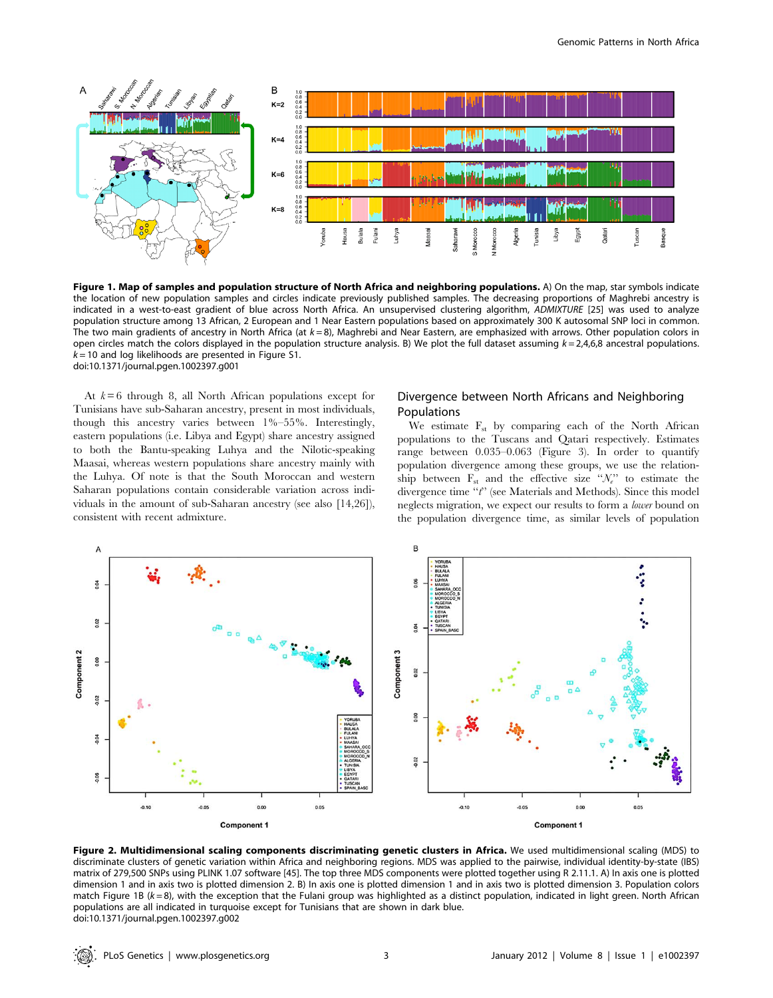

Figure 1. Map of samples and population structure of North Africa and neighboring populations. A) On the map, star symbols indicate the location of new population samples and circles indicate previously published samples. The decreasing proportions of Maghrebi ancestry is indicated in a west-to-east gradient of blue across North Africa. An unsupervised clustering algorithm, ADMIXTURE [25] was used to analyze population structure among 13 African, 2 European and 1 Near Eastern populations based on approximately 300 K autosomal SNP loci in common. The two main gradients of ancestry in North Africa (at  $k = 8$ ), Maghrebi and Near Eastern, are emphasized with arrows. Other population colors in open circles match the colors displayed in the population structure analysis. B) We plot the full dataset assuming  $k = 2,4,6,8$  ancestral populations.  $k = 10$  and log likelihoods are presented in Figure S1. doi:10.1371/journal.pgen.1002397.g001

At  $k = 6$  through 8, all North African populations except for Tunisians have sub-Saharan ancestry, present in most individuals, though this ancestry varies between 1%–55%. Interestingly, eastern populations (i.e. Libya and Egypt) share ancestry assigned to both the Bantu-speaking Luhya and the Nilotic-speaking Maasai, whereas western populations share ancestry mainly with the Luhya. Of note is that the South Moroccan and western Saharan populations contain considerable variation across individuals in the amount of sub-Saharan ancestry (see also [14,26]), consistent with recent admixture.

## Divergence between North Africans and Neighboring Populations

We estimate  $F_{st}$  by comparing each of the North African populations to the Tuscans and Qatari respectively. Estimates range between 0.035–0.063 (Figure 3). In order to quantify population divergence among these groups, we use the relationship between  $F_{st}$  and the effective size " $\mathcal{N}_{e}$ " to estimate the divergence time "t" (see Materials and Methods). Since this model neglects migration, we expect our results to form a lower bound on the population divergence time, as similar levels of population



Figure 2. Multidimensional scaling components discriminating genetic clusters in Africa. We used multidimensional scaling (MDS) to discriminate clusters of genetic variation within Africa and neighboring regions. MDS was applied to the pairwise, individual identity-by-state (IBS) matrix of 279,500 SNPs using PLINK 1.07 software [45]. The top three MDS components were plotted together using R 2.11.1. A) In axis one is plotted dimension 1 and in axis two is plotted dimension 2. B) In axis one is plotted dimension 1 and in axis two is plotted dimension 3. Population colors match Figure 1B  $(k=8)$ , with the exception that the Fulani group was highlighted as a distinct population, indicated in light green. North African populations are all indicated in turquoise except for Tunisians that are shown in dark blue. doi:10.1371/journal.pgen.1002397.g002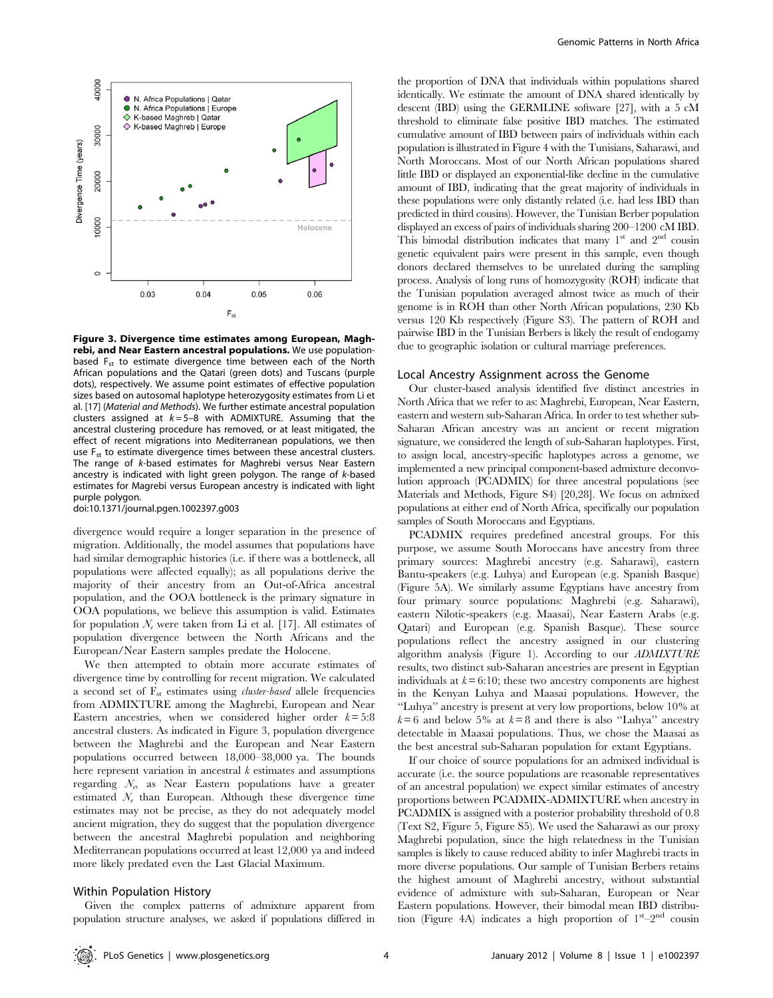

Figure 3. Divergence time estimates among European, Maghrebi, and Near Eastern ancestral populations. We use populationbased  $F_{st}$  to estimate divergence time between each of the North African populations and the Qatari (green dots) and Tuscans (purple dots), respectively. We assume point estimates of effective population sizes based on autosomal haplotype heterozygosity estimates from Li et al. [17] (Material and Methods). We further estimate ancestral population clusters assigned at  $k = 5-8$  with ADMIXTURE. Assuming that the ancestral clustering procedure has removed, or at least mitigated, the effect of recent migrations into Mediterranean populations, we then use  $F_{st}$  to estimate divergence times between these ancestral clusters. The range of k-based estimates for Maghrebi versus Near Eastern ancestry is indicated with light green polygon. The range of k-based estimates for Magrebi versus European ancestry is indicated with light purple polygon. doi:10.1371/journal.pgen.1002397.g003

divergence would require a longer separation in the presence of migration. Additionally, the model assumes that populations have had similar demographic histories (i.e. if there was a bottleneck, all populations were affected equally); as all populations derive the majority of their ancestry from an Out-of-Africa ancestral population, and the OOA bottleneck is the primary signature in OOA populations, we believe this assumption is valid. Estimates for population  $\mathcal{N}_e$  were taken from Li et al. [17]. All estimates of population divergence between the North Africans and the European/Near Eastern samples predate the Holocene.

We then attempted to obtain more accurate estimates of divergence time by controlling for recent migration. We calculated a second set of  $F_{st}$  estimates using *cluster-based* allele frequencies from ADMIXTURE among the Maghrebi, European and Near Eastern ancestries, when we considered higher order  $k = 5:8$ ancestral clusters. As indicated in Figure 3, population divergence between the Maghrebi and the European and Near Eastern populations occurred between 18,000–38,000 ya. The bounds here represent variation in ancestral  $k$  estimates and assumptions regarding  $N_e$ , as Near Eastern populations have a greater estimated  $\mathcal{N}_e$  than European. Although these divergence time estimates may not be precise, as they do not adequately model ancient migration, they do suggest that the population divergence between the ancestral Maghrebi population and neighboring Mediterranean populations occurred at least 12,000 ya and indeed more likely predated even the Last Glacial Maximum.

## Within Population History

Given the complex patterns of admixture apparent from population structure analyses, we asked if populations differed in the proportion of DNA that individuals within populations shared identically. We estimate the amount of DNA shared identically by descent (IBD) using the GERMLINE software [27], with a 5 cM threshold to eliminate false positive IBD matches. The estimated cumulative amount of IBD between pairs of individuals within each population is illustrated in Figure 4 with the Tunisians, Saharawi, and North Moroccans. Most of our North African populations shared little IBD or displayed an exponential-like decline in the cumulative amount of IBD, indicating that the great majority of individuals in these populations were only distantly related (i.e. had less IBD than predicted in third cousins). However, the Tunisian Berber population displayed an excess of pairs of individuals sharing 200–1200 cM IBD. This bimodal distribution indicates that many  $1<sup>st</sup>$  and  $2<sup>nd</sup>$  cousin genetic equivalent pairs were present in this sample, even though donors declared themselves to be unrelated during the sampling process. Analysis of long runs of homozygosity (ROH) indicate that the Tunisian population averaged almost twice as much of their genome is in ROH than other North African populations, 230 Kb versus 120 Kb respectively (Figure S3). The pattern of ROH and pairwise IBD in the Tunisian Berbers is likely the result of endogamy due to geographic isolation or cultural marriage preferences.

#### Local Ancestry Assignment across the Genome

Our cluster-based analysis identified five distinct ancestries in North Africa that we refer to as: Maghrebi, European, Near Eastern, eastern and western sub-Saharan Africa. In order to test whether sub-Saharan African ancestry was an ancient or recent migration signature, we considered the length of sub-Saharan haplotypes. First, to assign local, ancestry-specific haplotypes across a genome, we implemented a new principal component-based admixture deconvolution approach (PCADMIX) for three ancestral populations (see Materials and Methods, Figure S4) [20,28]. We focus on admixed populations at either end of North Africa, specifically our population samples of South Moroccans and Egyptians.

PCADMIX requires predefined ancestral groups. For this purpose, we assume South Moroccans have ancestry from three primary sources: Maghrebi ancestry (e.g. Saharawi), eastern Bantu-speakers (e.g. Luhya) and European (e.g. Spanish Basque) (Figure 5A). We similarly assume Egyptians have ancestry from four primary source populations: Maghrebi (e.g. Saharawi), eastern Nilotic-speakers (e.g. Maasai), Near Eastern Arabs (e.g. Qatari) and European (e.g. Spanish Basque). These source populations reflect the ancestry assigned in our clustering algorithm analysis (Figure 1). According to our ADMIXTURE results, two distinct sub-Saharan ancestries are present in Egyptian individuals at  $k = 6:10$ ; these two ancestry components are highest in the Kenyan Luhya and Maasai populations. However, the ''Luhya'' ancestry is present at very low proportions, below 10% at  $k=6$  and below 5% at  $k=8$  and there is also "Luhya" ancestry detectable in Maasai populations. Thus, we chose the Maasai as the best ancestral sub-Saharan population for extant Egyptians.

If our choice of source populations for an admixed individual is accurate (i.e. the source populations are reasonable representatives of an ancestral population) we expect similar estimates of ancestry proportions between PCADMIX-ADMIXTURE when ancestry in PCADMIX is assigned with a posterior probability threshold of 0.8 (Text S2, Figure 5, Figure S5). We used the Saharawi as our proxy Maghrebi population, since the high relatedness in the Tunisian samples is likely to cause reduced ability to infer Maghrebi tracts in more diverse populations. Our sample of Tunisian Berbers retains the highest amount of Maghrebi ancestry, without substantial evidence of admixture with sub-Saharan, European or Near Eastern populations. However, their bimodal mean IBD distribution (Figure 4A) indicates a high proportion of  $1^{st}-2^{nd}$  cousin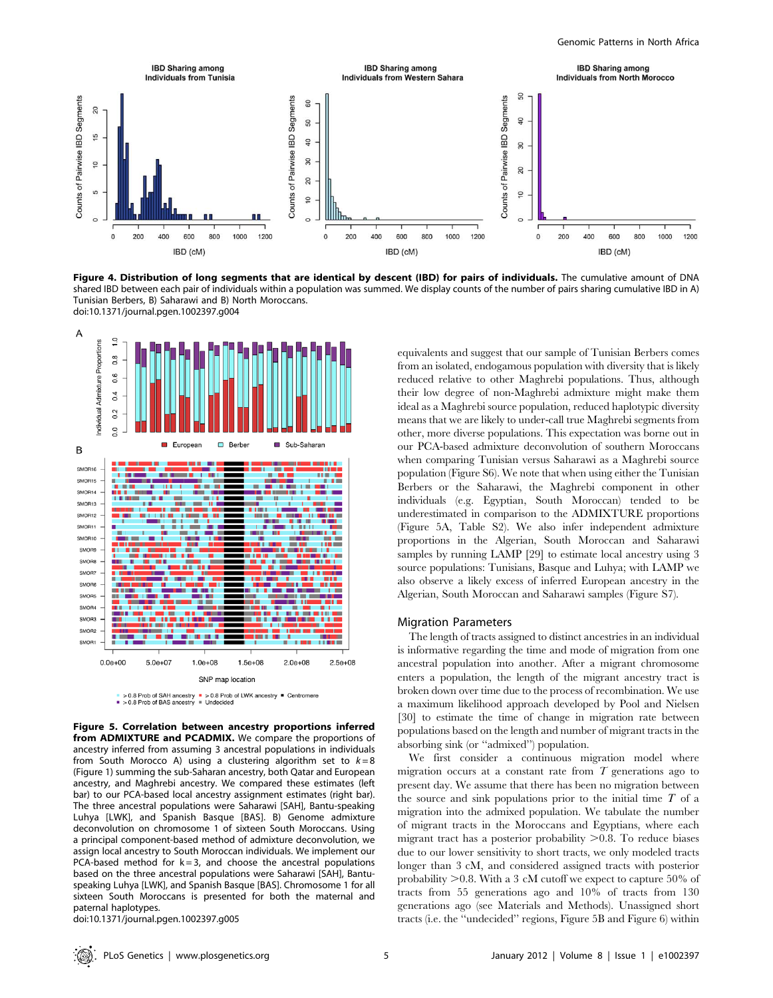

Figure 4. Distribution of long segments that are identical by descent (IBD) for pairs of individuals. The cumulative amount of DNA shared IBD between each pair of individuals within a population was summed. We display counts of the number of pairs sharing cumulative IBD in A) Tunisian Berbers, B) Saharawi and B) North Moroccans. doi:10.1371/journal.pgen.1002397.g004



Figure 5. Correlation between ancestry proportions inferred from ADMIXTURE and PCADMIX. We compare the proportions of ancestry inferred from assuming 3 ancestral populations in individuals from South Morocco A) using a clustering algorithm set to  $k = 8$ (Figure 1) summing the sub-Saharan ancestry, both Qatar and European ancestry, and Maghrebi ancestry. We compared these estimates (left bar) to our PCA-based local ancestry assignment estimates (right bar). The three ancestral populations were Saharawi [SAH], Bantu-speaking Luhya [LWK], and Spanish Basque [BAS]. B) Genome admixture deconvolution on chromosome 1 of sixteen South Moroccans. Using a principal component-based method of admixture deconvolution, we assign local ancestry to South Moroccan individuals. We implement our PCA-based method for  $k = 3$ , and choose the ancestral populations based on the three ancestral populations were Saharawi [SAH], Bantuspeaking Luhya [LWK], and Spanish Basque [BAS]. Chromosome 1 for all sixteen South Moroccans is presented for both the maternal and paternal haplotypes.

doi:10.1371/journal.pgen.1002397.g005

equivalents and suggest that our sample of Tunisian Berbers comes from an isolated, endogamous population with diversity that is likely reduced relative to other Maghrebi populations. Thus, although their low degree of non-Maghrebi admixture might make them ideal as a Maghrebi source population, reduced haplotypic diversity means that we are likely to under-call true Maghrebi segments from other, more diverse populations. This expectation was borne out in our PCA-based admixture deconvolution of southern Moroccans when comparing Tunisian versus Saharawi as a Maghrebi source population (Figure S6). We note that when using either the Tunisian Berbers or the Saharawi, the Maghrebi component in other individuals (e.g. Egyptian, South Moroccan) tended to be underestimated in comparison to the ADMIXTURE proportions (Figure 5A, Table S2). We also infer independent admixture proportions in the Algerian, South Moroccan and Saharawi samples by running LAMP [29] to estimate local ancestry using 3 source populations: Tunisians, Basque and Luhya; with LAMP we also observe a likely excess of inferred European ancestry in the Algerian, South Moroccan and Saharawi samples (Figure S7).

### Migration Parameters

The length of tracts assigned to distinct ancestries in an individual is informative regarding the time and mode of migration from one ancestral population into another. After a migrant chromosome enters a population, the length of the migrant ancestry tract is broken down over time due to the process of recombination. We use a maximum likelihood approach developed by Pool and Nielsen [30] to estimate the time of change in migration rate between populations based on the length and number of migrant tracts in the absorbing sink (or ''admixed'') population.

We first consider a continuous migration model where migration occurs at a constant rate from  $T$  generations ago to present day. We assume that there has been no migration between the source and sink populations prior to the initial time  $T$  of a migration into the admixed population. We tabulate the number of migrant tracts in the Moroccans and Egyptians, where each migrant tract has a posterior probability  $>0.8$ . To reduce biases due to our lower sensitivity to short tracts, we only modeled tracts longer than 3 cM, and considered assigned tracts with posterior probability  $>0.8$ . With a 3 cM cutoff we expect to capture 50% of tracts from 55 generations ago and 10% of tracts from 130 generations ago (see Materials and Methods). Unassigned short tracts (i.e. the ''undecided'' regions, Figure 5B and Figure 6) within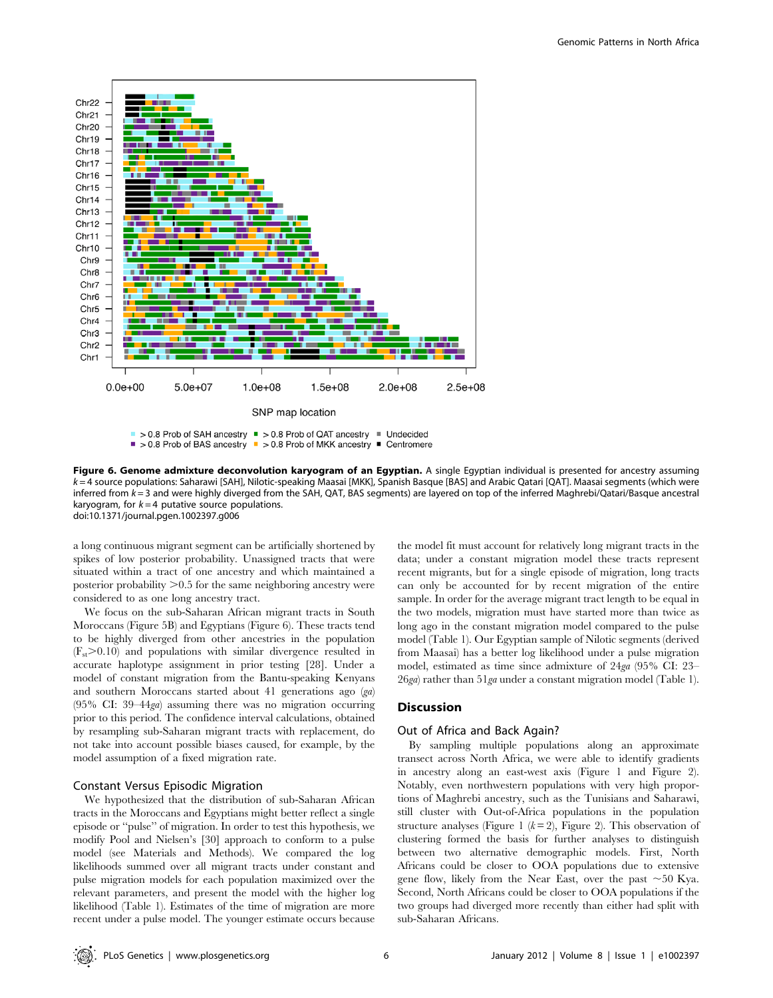

Figure 6. Genome admixture deconvolution karyogram of an Egyptian. A single Egyptian individual is presented for ancestry assuming k = 4 source populations: Saharawi [SAH], Nilotic-speaking Maasai [MKK], Spanish Basque [BAS] and Arabic Qatari [QAT]. Maasai segments (which were inferred from k = 3 and were highly diverged from the SAH, QAT, BAS segments) are layered on top of the inferred Maghrebi/Qatari/Basque ancestral karyogram, for  $k = 4$  putative source populations. doi:10.1371/journal.pgen.1002397.g006

a long continuous migrant segment can be artificially shortened by spikes of low posterior probability. Unassigned tracts that were situated within a tract of one ancestry and which maintained a posterior probability  $>0.5$  for the same neighboring ancestry were considered to as one long ancestry tract.

We focus on the sub-Saharan African migrant tracts in South Moroccans (Figure 5B) and Egyptians (Figure 6). These tracts tend to be highly diverged from other ancestries in the population  $(F_{st} > 0.10)$  and populations with similar divergence resulted in accurate haplotype assignment in prior testing [28]. Under a model of constant migration from the Bantu-speaking Kenyans and southern Moroccans started about 41 generations ago (ga) (95% CI: 39–44ga) assuming there was no migration occurring prior to this period. The confidence interval calculations, obtained by resampling sub-Saharan migrant tracts with replacement, do not take into account possible biases caused, for example, by the model assumption of a fixed migration rate.

## Constant Versus Episodic Migration

We hypothesized that the distribution of sub-Saharan African tracts in the Moroccans and Egyptians might better reflect a single episode or ''pulse'' of migration. In order to test this hypothesis, we modify Pool and Nielsen's [30] approach to conform to a pulse model (see Materials and Methods). We compared the log likelihoods summed over all migrant tracts under constant and pulse migration models for each population maximized over the relevant parameters, and present the model with the higher log likelihood (Table 1). Estimates of the time of migration are more recent under a pulse model. The younger estimate occurs because

the model fit must account for relatively long migrant tracts in the data; under a constant migration model these tracts represent recent migrants, but for a single episode of migration, long tracts can only be accounted for by recent migration of the entire sample. In order for the average migrant tract length to be equal in the two models, migration must have started more than twice as long ago in the constant migration model compared to the pulse model (Table 1). Our Egyptian sample of Nilotic segments (derived from Maasai) has a better log likelihood under a pulse migration model, estimated as time since admixture of 24ga (95% CI: 23– 26ga) rather than 51ga under a constant migration model (Table 1).

## Discussion

## Out of Africa and Back Again?

By sampling multiple populations along an approximate transect across North Africa, we were able to identify gradients in ancestry along an east-west axis (Figure 1 and Figure 2). Notably, even northwestern populations with very high proportions of Maghrebi ancestry, such as the Tunisians and Saharawi, still cluster with Out-of-Africa populations in the population structure analyses (Figure 1  $(k = 2)$ , Figure 2). This observation of clustering formed the basis for further analyses to distinguish between two alternative demographic models. First, North Africans could be closer to OOA populations due to extensive gene flow, likely from the Near East, over the past  $\sim$  50 Kya. Second, North Africans could be closer to OOA populations if the two groups had diverged more recently than either had split with sub-Saharan Africans.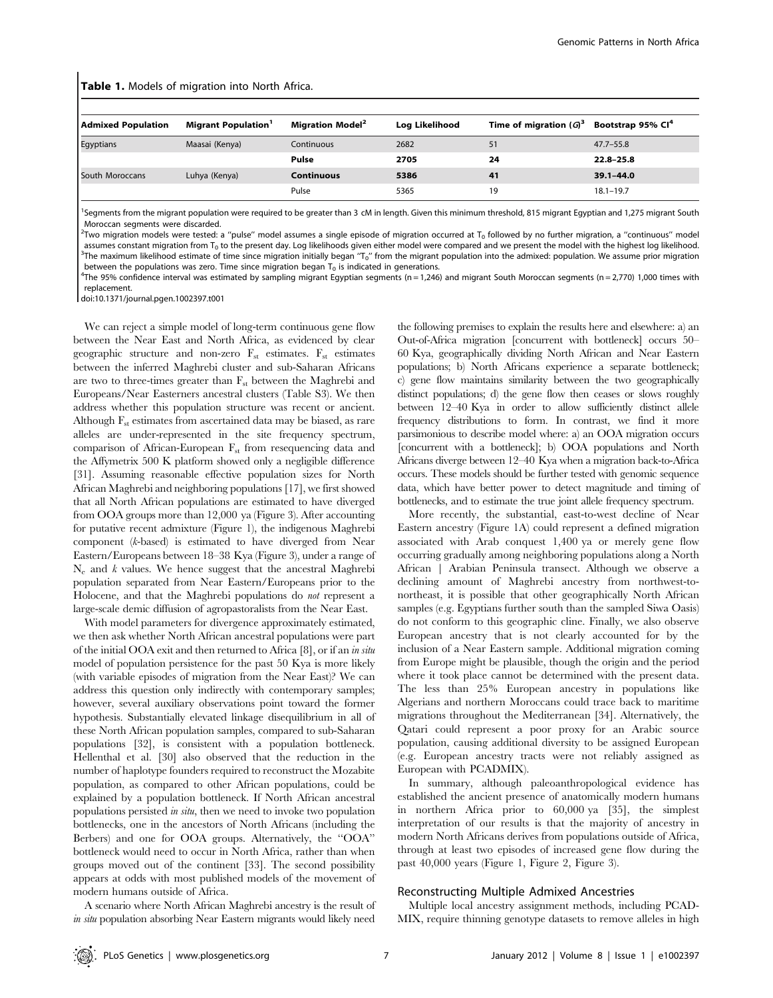| <b>Table 1.</b> Models of migration into North Africa. |                                        |                                    |                |                           |                               |
|--------------------------------------------------------|----------------------------------------|------------------------------------|----------------|---------------------------|-------------------------------|
| <b>Admixed Population</b>                              | <b>Migrant Population</b> <sup>1</sup> | <b>Migration Model<sup>2</sup></b> | Log Likelihood | Time of migration $(G)^3$ | Bootstrap 95% Cl <sup>4</sup> |
| Egyptians                                              | Maasai (Kenya)                         | Continuous                         | 2682           | 51                        | $47.7 - 55.8$                 |
|                                                        |                                        | Pulse                              | 2705           | 24                        | $22.8 - 25.8$                 |
| South Moroccans                                        | Luhya (Kenya)                          | <b>Continuous</b>                  | 5386           | 41                        | $39.1 - 44.0$                 |
|                                                        |                                        | Pulse                              | 5365           | 19                        | $18.1 - 19.7$                 |

<sup>1</sup>Segments from the migrant population were required to be greater than 3 cM in length. Given this minimum threshold, 815 migrant Egyptian and 1,275 migrant South Moroccan segments were discarded.

 $^2$ Two migration models were tested: a "pulse" model assumes a single episode of migration occurred at T<sub>0</sub> followed by no further migration, a "continuous" model assumes constant migration from T<sub>0</sub> to the present day. Log likelihoods given either model were compared and we present the model with the highest log likelihood.  ${}^{3}$ The maximum likelihood estimate of time since migration initially began 'T<sub>o</sub>" from the migrant population into the admixed: population. We assume prior migration between the populations was zero. Time since migration began  $T_0$  is indicated in generations.

 $^{4}$ The 95% confidence interval was estimated by sampling migrant Egyptian segments (n=1,246) and migrant South Moroccan segments (n=2,770) 1,000 times with replacement.

doi:10.1371/journal.pgen.1002397.t001

We can reject a simple model of long-term continuous gene flow between the Near East and North Africa, as evidenced by clear geographic structure and non-zero  $F_{st}$  estimates.  $F_{st}$  estimates between the inferred Maghrebi cluster and sub-Saharan Africans are two to three-times greater than  $F_{st}$  between the Maghrebi and Europeans/Near Easterners ancestral clusters (Table S3). We then address whether this population structure was recent or ancient. Although  $F_{st}$  estimates from ascertained data may be biased, as rare alleles are under-represented in the site frequency spectrum, comparison of African-European  $F_{st}$  from resequencing data and the Affymetrix 500 K platform showed only a negligible difference [31]. Assuming reasonable effective population sizes for North African Maghrebi and neighboring populations [17], we first showed that all North African populations are estimated to have diverged from OOA groups more than 12,000 ya (Figure 3). After accounting for putative recent admixture (Figure 1), the indigenous Maghrebi component (k-based) is estimated to have diverged from Near Eastern/Europeans between 18–38 Kya (Figure 3), under a range of  $N_e$  and k values. We hence suggest that the ancestral Maghrebi population separated from Near Eastern/Europeans prior to the Holocene, and that the Maghrebi populations do not represent a large-scale demic diffusion of agropastoralists from the Near East.

With model parameters for divergence approximately estimated, we then ask whether North African ancestral populations were part of the initial OOA exit and then returned to Africa [8], or if an in situ model of population persistence for the past 50 Kya is more likely (with variable episodes of migration from the Near East)? We can address this question only indirectly with contemporary samples; however, several auxiliary observations point toward the former hypothesis. Substantially elevated linkage disequilibrium in all of these North African population samples, compared to sub-Saharan populations [32], is consistent with a population bottleneck. Hellenthal et al. [30] also observed that the reduction in the number of haplotype founders required to reconstruct the Mozabite population, as compared to other African populations, could be explained by a population bottleneck. If North African ancestral populations persisted in situ, then we need to invoke two population bottlenecks, one in the ancestors of North Africans (including the Berbers) and one for OOA groups. Alternatively, the ''OOA'' bottleneck would need to occur in North Africa, rather than when groups moved out of the continent [33]. The second possibility appears at odds with most published models of the movement of modern humans outside of Africa.

A scenario where North African Maghrebi ancestry is the result of in situ population absorbing Near Eastern migrants would likely need

the following premises to explain the results here and elsewhere: a) an Out-of-Africa migration [concurrent with bottleneck] occurs 50– 60 Kya, geographically dividing North African and Near Eastern populations; b) North Africans experience a separate bottleneck; c) gene flow maintains similarity between the two geographically distinct populations; d) the gene flow then ceases or slows roughly between 12–40 Kya in order to allow sufficiently distinct allele frequency distributions to form. In contrast, we find it more parsimonious to describe model where: a) an OOA migration occurs [concurrent with a bottleneck]; b) OOA populations and North Africans diverge between 12–40 Kya when a migration back-to-Africa occurs. These models should be further tested with genomic sequence data, which have better power to detect magnitude and timing of bottlenecks, and to estimate the true joint allele frequency spectrum.

More recently, the substantial, east-to-west decline of Near Eastern ancestry (Figure 1A) could represent a defined migration associated with Arab conquest 1,400 ya or merely gene flow occurring gradually among neighboring populations along a North African | Arabian Peninsula transect. Although we observe a declining amount of Maghrebi ancestry from northwest-tonortheast, it is possible that other geographically North African samples (e.g. Egyptians further south than the sampled Siwa Oasis) do not conform to this geographic cline. Finally, we also observe European ancestry that is not clearly accounted for by the inclusion of a Near Eastern sample. Additional migration coming from Europe might be plausible, though the origin and the period where it took place cannot be determined with the present data. The less than 25% European ancestry in populations like Algerians and northern Moroccans could trace back to maritime migrations throughout the Mediterranean [34]. Alternatively, the Qatari could represent a poor proxy for an Arabic source population, causing additional diversity to be assigned European (e.g. European ancestry tracts were not reliably assigned as European with PCADMIX).

In summary, although paleoanthropological evidence has established the ancient presence of anatomically modern humans in northern Africa prior to 60,000 ya [35], the simplest interpretation of our results is that the majority of ancestry in modern North Africans derives from populations outside of Africa, through at least two episodes of increased gene flow during the past 40,000 years (Figure 1, Figure 2, Figure 3).

#### Reconstructing Multiple Admixed Ancestries

Multiple local ancestry assignment methods, including PCAD-MIX, require thinning genotype datasets to remove alleles in high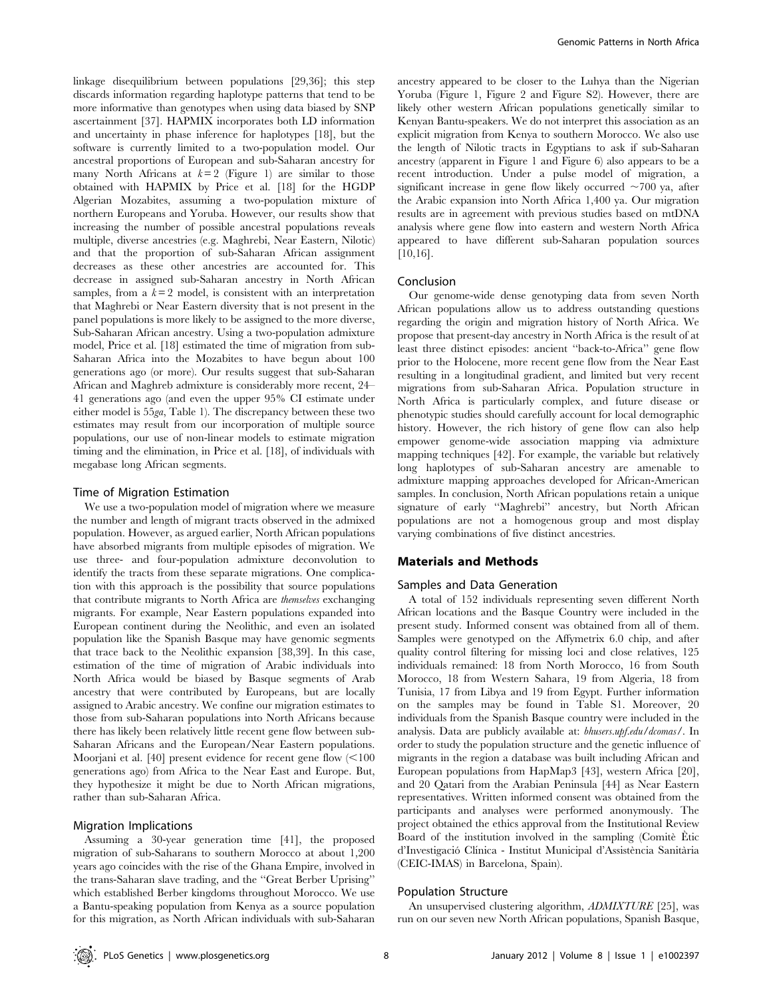linkage disequilibrium between populations [29,36]; this step discards information regarding haplotype patterns that tend to be more informative than genotypes when using data biased by SNP ascertainment [37]. HAPMIX incorporates both LD information and uncertainty in phase inference for haplotypes [18], but the software is currently limited to a two-population model. Our ancestral proportions of European and sub-Saharan ancestry for many North Africans at  $k=2$  (Figure 1) are similar to those obtained with HAPMIX by Price et al. [18] for the HGDP Algerian Mozabites, assuming a two-population mixture of northern Europeans and Yoruba. However, our results show that increasing the number of possible ancestral populations reveals multiple, diverse ancestries (e.g. Maghrebi, Near Eastern, Nilotic) and that the proportion of sub-Saharan African assignment decreases as these other ancestries are accounted for. This decrease in assigned sub-Saharan ancestry in North African samples, from a  $k=2$  model, is consistent with an interpretation that Maghrebi or Near Eastern diversity that is not present in the panel populations is more likely to be assigned to the more diverse, Sub-Saharan African ancestry. Using a two-population admixture model, Price et al. [18] estimated the time of migration from sub-Saharan Africa into the Mozabites to have begun about 100 generations ago (or more). Our results suggest that sub-Saharan African and Maghreb admixture is considerably more recent, 24– 41 generations ago (and even the upper 95% CI estimate under either model is 55ga, Table 1). The discrepancy between these two estimates may result from our incorporation of multiple source populations, our use of non-linear models to estimate migration timing and the elimination, in Price et al. [18], of individuals with megabase long African segments.

## Time of Migration Estimation

We use a two-population model of migration where we measure the number and length of migrant tracts observed in the admixed population. However, as argued earlier, North African populations have absorbed migrants from multiple episodes of migration. We use three- and four-population admixture deconvolution to identify the tracts from these separate migrations. One complication with this approach is the possibility that source populations that contribute migrants to North Africa are themselves exchanging migrants. For example, Near Eastern populations expanded into European continent during the Neolithic, and even an isolated population like the Spanish Basque may have genomic segments that trace back to the Neolithic expansion [38,39]. In this case, estimation of the time of migration of Arabic individuals into North Africa would be biased by Basque segments of Arab ancestry that were contributed by Europeans, but are locally assigned to Arabic ancestry. We confine our migration estimates to those from sub-Saharan populations into North Africans because there has likely been relatively little recent gene flow between sub-Saharan Africans and the European/Near Eastern populations. Moorjani et al.  $[40]$  present evidence for recent gene flow  $\langle$ <100 generations ago) from Africa to the Near East and Europe. But, they hypothesize it might be due to North African migrations, rather than sub-Saharan Africa.

## Migration Implications

Assuming a 30-year generation time [41], the proposed migration of sub-Saharans to southern Morocco at about 1,200 years ago coincides with the rise of the Ghana Empire, involved in the trans-Saharan slave trading, and the ''Great Berber Uprising'' which established Berber kingdoms throughout Morocco. We use a Bantu-speaking population from Kenya as a source population for this migration, as North African individuals with sub-Saharan ancestry appeared to be closer to the Luhya than the Nigerian Yoruba (Figure 1, Figure 2 and Figure S2). However, there are likely other western African populations genetically similar to Kenyan Bantu-speakers. We do not interpret this association as an explicit migration from Kenya to southern Morocco. We also use the length of Nilotic tracts in Egyptians to ask if sub-Saharan ancestry (apparent in Figure 1 and Figure 6) also appears to be a recent introduction. Under a pulse model of migration, a significant increase in gene flow likely occurred  $\sim$ 700 ya, after the Arabic expansion into North Africa 1,400 ya. Our migration results are in agreement with previous studies based on mtDNA analysis where gene flow into eastern and western North Africa appeared to have different sub-Saharan population sources [10,16].

## Conclusion

Our genome-wide dense genotyping data from seven North African populations allow us to address outstanding questions regarding the origin and migration history of North Africa. We propose that present-day ancestry in North Africa is the result of at least three distinct episodes: ancient ''back-to-Africa'' gene flow prior to the Holocene, more recent gene flow from the Near East resulting in a longitudinal gradient, and limited but very recent migrations from sub-Saharan Africa. Population structure in North Africa is particularly complex, and future disease or phenotypic studies should carefully account for local demographic history. However, the rich history of gene flow can also help empower genome-wide association mapping via admixture mapping techniques [42]. For example, the variable but relatively long haplotypes of sub-Saharan ancestry are amenable to admixture mapping approaches developed for African-American samples. In conclusion, North African populations retain a unique signature of early ''Maghrebi'' ancestry, but North African populations are not a homogenous group and most display varying combinations of five distinct ancestries.

## Materials and Methods

## Samples and Data Generation

A total of 152 individuals representing seven different North African locations and the Basque Country were included in the present study. Informed consent was obtained from all of them. Samples were genotyped on the Affymetrix 6.0 chip, and after quality control filtering for missing loci and close relatives, 125 individuals remained: 18 from North Morocco, 16 from South Morocco, 18 from Western Sahara, 19 from Algeria, 18 from Tunisia, 17 from Libya and 19 from Egypt. Further information on the samples may be found in Table S1. Moreover, 20 individuals from the Spanish Basque country were included in the analysis. Data are publicly available at: bhusers.upf.edu/dcomas/. In order to study the population structure and the genetic influence of migrants in the region a database was built including African and European populations from HapMap3 [43], western Africa [20], and 20 Qatari from the Arabian Peninsula [44] as Near Eastern representatives. Written informed consent was obtained from the participants and analyses were performed anonymously. The project obtained the ethics approval from the Institutional Review Board of the institution involved in the sampling (Comité Étic d'Investigació Clínica - Institut Municipal d'Assistència Sanitària (CEIC-IMAS) in Barcelona, Spain).

## Population Structure

An unsupervised clustering algorithm, ADMIXTURE [25], was run on our seven new North African populations, Spanish Basque,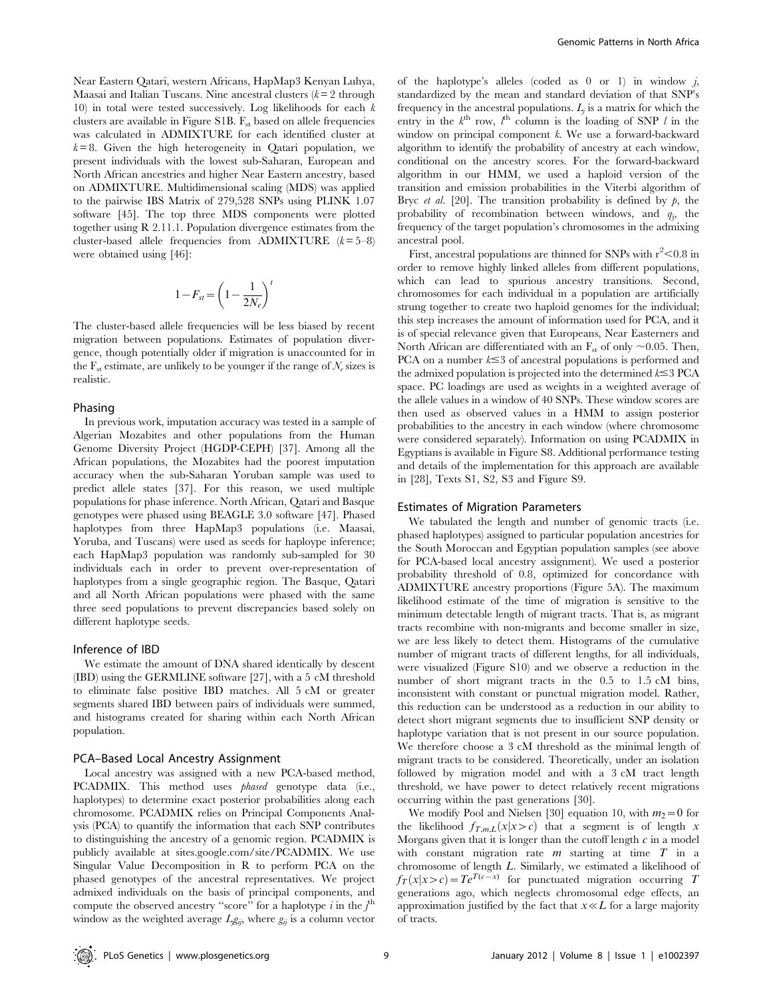Near Eastern Qatari, western Africans, HapMap3 Kenyan Luhya, Maasai and Italian Tuscans. Nine ancestral clusters  $(k=2$  through 10) in total were tested successively. Log likelihoods for each  $k$ clusters are available in Figure S1B.  $F_{st}$  based on allele frequencies was calculated in ADMIXTURE for each identified cluster at  $k = 8$ . Given the high heterogeneity in Qatari population, we present individuals with the lowest sub-Saharan, European and North African ancestries and higher Near Eastern ancestry, based on ADMIXTURE. Multidimensional scaling (MDS) was applied to the pairwise IBS Matrix of 279,528 SNPs using PLINK 1.07 software [45]. The top three MDS components were plotted together using R 2.11.1. Population divergence estimates from the cluster-based allele frequencies from ADMIXTURE  $(k=5-8)$ were obtained using [46]:

$$
1-F_{st}=\left(1-\frac{1}{2N_e}\right)^t
$$

The cluster-based allele frequencies will be less biased by recent migration between populations. Estimates of population divergence, though potentially older if migration is unaccounted for in the  $F_{st}$  estimate, are unlikely to be younger if the range of  $\mathcal{N}_e$  sizes is realistic.

## Phasing

In previous work, imputation accuracy was tested in a sample of Algerian Mozabites and other populations from the Human Genome Diversity Project (HGDP-CEPH) [37]. Among all the African populations, the Mozabites had the poorest imputation accuracy when the sub-Saharan Yoruban sample was used to predict allele states [37]. For this reason, we used multiple populations for phase inference. North African, Qatari and Basque genotypes were phased using BEAGLE 3.0 software [47]. Phased haplotypes from three HapMap3 populations (i.e. Maasai, Yoruba, and Tuscans) were used as seeds for haploype inference; each HapMap3 population was randomly sub-sampled for 30 individuals each in order to prevent over-representation of haplotypes from a single geographic region. The Basque, Qatari and all North African populations were phased with the same three seed populations to prevent discrepancies based solely on different haplotype seeds.

## Inference of IBD

We estimate the amount of DNA shared identically by descent (IBD) using the GERMLINE software [27], with a 5 cM threshold to eliminate false positive IBD matches. All 5 cM or greater segments shared IBD between pairs of individuals were summed, and histograms created for sharing within each North African population.

## PCA–Based Local Ancestry Assignment

Local ancestry was assigned with a new PCA-based method, PCADMIX. This method uses *phased* genotype data (i.e., haplotypes) to determine exact posterior probabilities along each chromosome. PCADMIX relies on Principal Components Analysis (PCA) to quantify the information that each SNP contributes to distinguishing the ancestry of a genomic region. PCADMIX is publicly available at sites.google.com/site/PCADMIX. We use Singular Value Decomposition in R to perform PCA on the phased genotypes of the ancestral representatives. We project admixed individuals on the basis of principal components, and compute the observed ancestry "score" for a haplotype  $i$  in the  $j^{\text{th}}$ window as the weighted average  $L_g g_{ij}$ , where  $g_{ij}$  is a column vector

of the haplotype's alleles (coded as  $0$  or 1) in window  $j$ , standardized by the mean and standard deviation of that SNP's frequency in the ancestral populations.  $L_i$  is a matrix for which the entry in the  $k^{\text{th}}$  row,  $l^{\text{th}}$  column is the loading of SNP l in the window on principal component k. We use a forward-backward algorithm to identify the probability of ancestry at each window, conditional on the ancestry scores. For the forward-backward algorithm in our HMM, we used a haploid version of the transition and emission probabilities in the Viterbi algorithm of Bryc *et al.* [20]. The transition probability is defined by  $p$ , the probability of recombination between windows, and  $q_j$ , the frequency of the target population's chromosomes in the admixing ancestral pool.

First, ancestral populations are thinned for SNPs with  $r^2$  < 0.8 in order to remove highly linked alleles from different populations, which can lead to spurious ancestry transitions. Second, chromosomes for each individual in a population are artificially strung together to create two haploid genomes for the individual; this step increases the amount of information used for PCA, and it is of special relevance given that Europeans, Near Easterners and North African are differentiated with an  $F_{st}$  of only  $\sim 0.05$ . Then, PCA on a number  $k \leq 3$  of ancestral populations is performed and the admixed population is projected into the determined  $k \leq 3$  PCA space. PC loadings are used as weights in a weighted average of the allele values in a window of 40 SNPs. These window scores are then used as observed values in a HMM to assign posterior probabilities to the ancestry in each window (where chromosome were considered separately). Information on using PCADMIX in Egyptians is available in Figure S8. Additional performance testing and details of the implementation for this approach are available in [28], Texts S1, S2, S3 and Figure S9.

### Estimates of Migration Parameters

We tabulated the length and number of genomic tracts (i.e. phased haplotypes) assigned to particular population ancestries for the South Moroccan and Egyptian population samples (see above for PCA-based local ancestry assignment). We used a posterior probability threshold of 0.8, optimized for concordance with ADMIXTURE ancestry proportions (Figure 5A). The maximum likelihood estimate of the time of migration is sensitive to the minimum detectable length of migrant tracts. That is, as migrant tracts recombine with non-migrants and become smaller in size, we are less likely to detect them. Histograms of the cumulative number of migrant tracts of different lengths, for all individuals, were visualized (Figure S10) and we observe a reduction in the number of short migrant tracts in the 0.5 to 1.5 cM bins, inconsistent with constant or punctual migration model. Rather, this reduction can be understood as a reduction in our ability to detect short migrant segments due to insufficient SNP density or haplotype variation that is not present in our source population. We therefore choose a 3 cM threshold as the minimal length of migrant tracts to be considered. Theoretically, under an isolation followed by migration model and with a 3 cM tract length threshold, we have power to detect relatively recent migrations occurring within the past generations [30].

We modify Pool and Nielsen [30] equation 10, with  $m_2=0$  for the likelihood  $f_{T,m,L}(x|x>c)$  that a segment is of length x Morgans given that it is longer than the cutoff length  $c$  in a model with constant migration rate  $m$  starting at time  $T$  in a chromosome of length L. Similarly, we estimated a likelihood of  $f_T(x|x>c) = Te^{T(c-x)}$  for punctuated migration occurring T generations ago, which neglects chromosomal edge effects, an approximation justified by the fact that  $x \ll L$  for a large majority of tracts.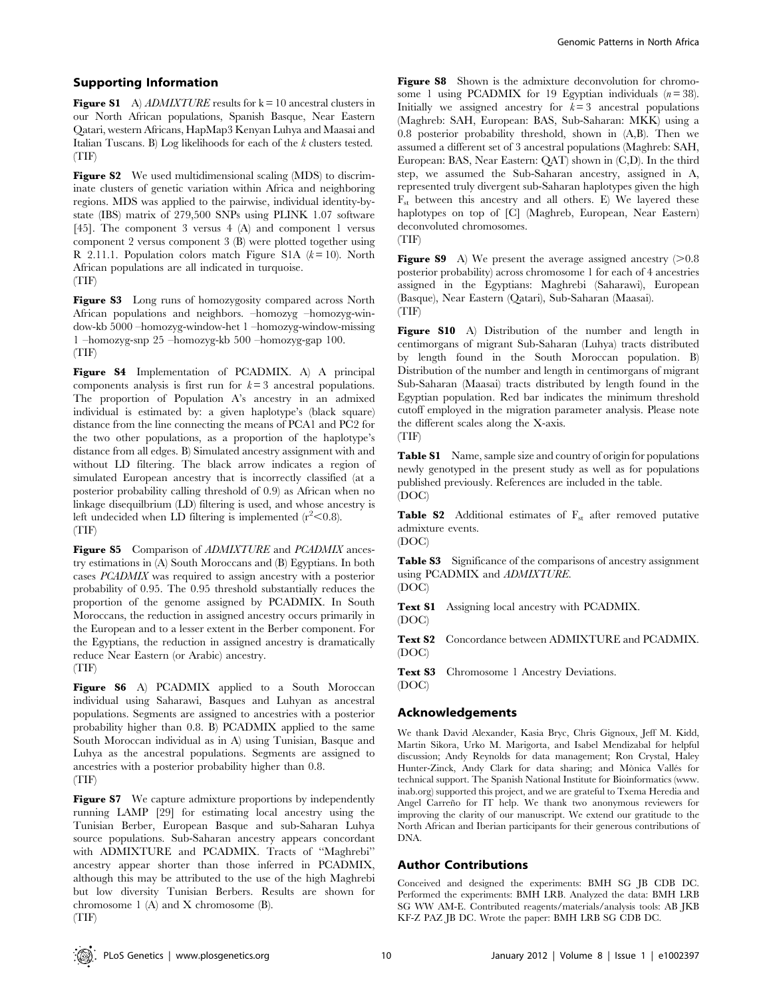## Supporting Information

Figure S1 A) ADMIXTURE results for  $k = 10$  ancestral clusters in our North African populations, Spanish Basque, Near Eastern Qatari, western Africans, HapMap3 Kenyan Luhya and Maasai and Italian Tuscans. B) Log likelihoods for each of the k clusters tested. (TIF)

Figure S2 We used multidimensional scaling (MDS) to discriminate clusters of genetic variation within Africa and neighboring regions. MDS was applied to the pairwise, individual identity-bystate (IBS) matrix of 279,500 SNPs using PLINK 1.07 software [45]. The component 3 versus 4 (A) and component 1 versus component 2 versus component 3 (B) were plotted together using R 2.11.1. Population colors match Figure S1A  $(k=10)$ . North African populations are all indicated in turquoise. (TIF)

Figure S3 Long runs of homozygosity compared across North African populations and neighbors. –homozyg –homozyg-window-kb 5000 –homozyg-window-het 1 –homozyg-window-missing 1 –homozyg-snp 25 –homozyg-kb 500 –homozyg-gap 100. (TIF)

Figure S4 Implementation of PCADMIX. A) A principal components analysis is first run for  $k = 3$  ancestral populations. The proportion of Population A's ancestry in an admixed individual is estimated by: a given haplotype's (black square) distance from the line connecting the means of PCA1 and PC2 for the two other populations, as a proportion of the haplotype's distance from all edges. B) Simulated ancestry assignment with and without LD filtering. The black arrow indicates a region of simulated European ancestry that is incorrectly classified (at a posterior probability calling threshold of 0.9) as African when no linkage disequilbrium (LD) filtering is used, and whose ancestry is left undecided when LD filtering is implemented  $(r^2<0.8)$ . (TIF)

Figure S5 Comparison of ADMIXTURE and PCADMIX ancestry estimations in (A) South Moroccans and (B) Egyptians. In both cases PCADMIX was required to assign ancestry with a posterior probability of 0.95. The 0.95 threshold substantially reduces the proportion of the genome assigned by PCADMIX. In South Moroccans, the reduction in assigned ancestry occurs primarily in the European and to a lesser extent in the Berber component. For the Egyptians, the reduction in assigned ancestry is dramatically reduce Near Eastern (or Arabic) ancestry.

(TIF)

Figure S6 A) PCADMIX applied to a South Moroccan individual using Saharawi, Basques and Luhyan as ancestral populations. Segments are assigned to ancestries with a posterior probability higher than 0.8. B) PCADMIX applied to the same South Moroccan individual as in A) using Tunisian, Basque and Luhya as the ancestral populations. Segments are assigned to ancestries with a posterior probability higher than 0.8. (TIF)

Figure S7 We capture admixture proportions by independently running LAMP [29] for estimating local ancestry using the Tunisian Berber, European Basque and sub-Saharan Luhya source populations. Sub-Saharan ancestry appears concordant with ADMIXTURE and PCADMIX. Tracts of ''Maghrebi'' ancestry appear shorter than those inferred in PCADMIX, although this may be attributed to the use of the high Maghrebi but low diversity Tunisian Berbers. Results are shown for chromosome 1 (A) and X chromosome (B). (TIF)

Figure S8 Shown is the admixture deconvolution for chromosome 1 using PCADMIX for 19 Egyptian individuals  $(n = 38)$ . Initially we assigned ancestry for  $k=3$  ancestral populations (Maghreb: SAH, European: BAS, Sub-Saharan: MKK) using a 0.8 posterior probability threshold, shown in (A,B). Then we assumed a different set of 3 ancestral populations (Maghreb: SAH, European: BAS, Near Eastern: QAT) shown in (C,D). In the third step, we assumed the Sub-Saharan ancestry, assigned in A, represented truly divergent sub-Saharan haplotypes given the high  $F_{st}$  between this ancestry and all others. E) We layered these haplotypes on top of [C] (Maghreb, European, Near Eastern) deconvoluted chromosomes.

(TIF)

**Figure S9** A) We present the average assigned ancestry  $(>0.8$ posterior probability) across chromosome 1 for each of 4 ancestries assigned in the Egyptians: Maghrebi (Saharawi), European (Basque), Near Eastern (Qatari), Sub-Saharan (Maasai). (TIF)

Figure S10 A) Distribution of the number and length in centimorgans of migrant Sub-Saharan (Luhya) tracts distributed by length found in the South Moroccan population. B) Distribution of the number and length in centimorgans of migrant Sub-Saharan (Maasai) tracts distributed by length found in the Egyptian population. Red bar indicates the minimum threshold cutoff employed in the migration parameter analysis. Please note the different scales along the X-axis. (TIF)

Table S1 Name, sample size and country of origin for populations newly genotyped in the present study as well as for populations published previously. References are included in the table. (DOC)

**Table S2** Additional estimates of  $F_{st}$  after removed putative admixture events. (DOC)

Table S3 Significance of the comparisons of ancestry assignment using PCADMIX and ADMIXTURE.

(DOC)

Text S1 Assigning local ancestry with PCADMIX. (DOC)

Text S2 Concordance between ADMIXTURE and PCADMIX. (DOC)

Text S3 Chromosome 1 Ancestry Deviations. (DOC)

# Acknowledgements

We thank David Alexander, Kasia Bryc, Chris Gignoux, Jeff M. Kidd, Martin Sikora, Urko M. Marigorta, and Isabel Mendizabal for helpful discussion; Andy Reynolds for data management; Ron Crystal, Haley Hunter-Zinck, Andy Clark for data sharing; and Mònica Vallés for technical support. The Spanish National Institute for Bioinformatics (www. inab.org) supported this project, and we are grateful to Txema Heredia and Angel Carreño for IT help. We thank two anonymous reviewers for improving the clarity of our manuscript. We extend our gratitude to the North African and Iberian participants for their generous contributions of DNA.

# Author Contributions

Conceived and designed the experiments: BMH SG JB CDB DC. Performed the experiments: BMH LRB. Analyzed the data: BMH LRB SG WW AM-E. Contributed reagents/materials/analysis tools: AB JKB KF-Z PAZ JB DC. Wrote the paper: BMH LRB SG CDB DC.